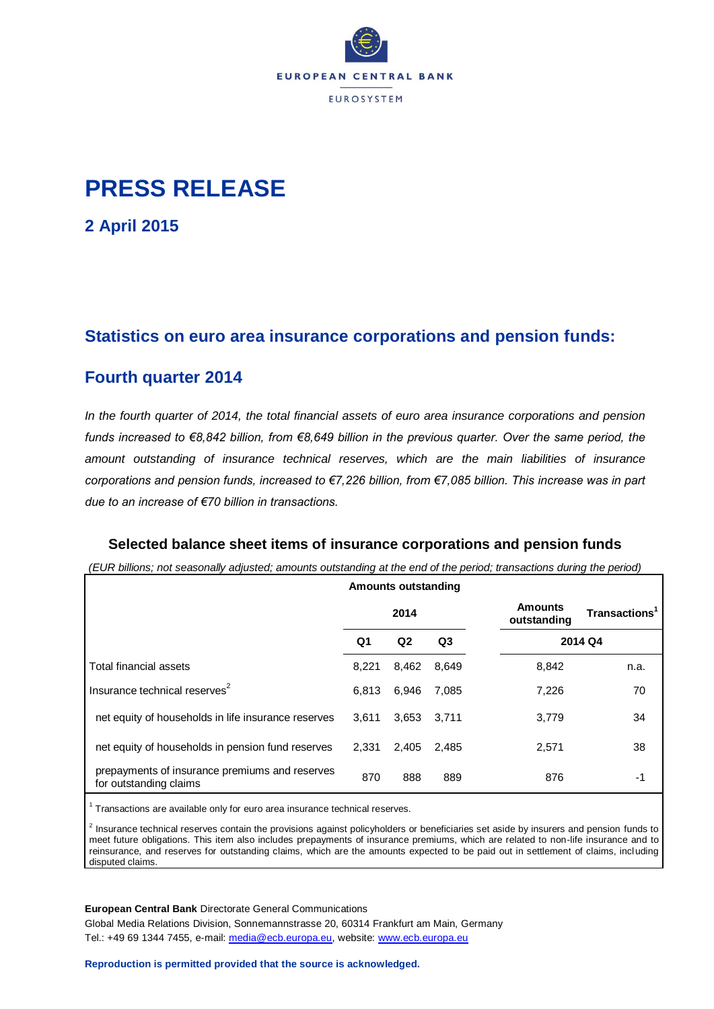

# **PRESS RELEASE**

**2 April 2015**

### **Statistics on euro area insurance corporations and pension funds:**

### **Fourth quarter 2014**

*In the fourth quarter of 2014, the total financial assets of euro area insurance corporations and pension funds increased to €8,842 billion, from €8,649 billion in the previous quarter. Over the same period, the amount outstanding of insurance technical reserves, which are the main liabilities of insurance corporations and pension funds, increased to €7,226 billion, from €7,085 billion. This increase was in part due to an increase of €70 billion in transactions.*

#### **Selected balance sheet items of insurance corporations and pension funds**

*(EUR billions; not seasonally adjusted; amounts outstanding at the end of the period; transactions during the period)*

|                                                                          |       | <b>Amounts outstanding</b> |                |                               |                           |  |
|--------------------------------------------------------------------------|-------|----------------------------|----------------|-------------------------------|---------------------------|--|
|                                                                          | 2014  |                            |                | <b>Amounts</b><br>outstanding | Transactions <sup>1</sup> |  |
|                                                                          | Q1    | Q2                         | Q <sub>3</sub> |                               | 2014 Q4                   |  |
| Total financial assets                                                   | 8.221 | 8,462                      | 8,649          | 8,842                         | n.a.                      |  |
| Insurance technical reserves <sup>2</sup>                                | 6.813 | 6,946                      | 7,085          | 7,226                         | 70                        |  |
| net equity of households in life insurance reserves                      | 3.611 | 3,653                      | 3.711          | 3,779                         | 34                        |  |
| net equity of households in pension fund reserves                        | 2.331 | 2,405                      | 2,485          | 2,571                         | 38                        |  |
| prepayments of insurance premiums and reserves<br>for outstanding claims | 870   | 888                        | 889            | 876                           | -1                        |  |

 $1$  Transactions are available only for euro area insurance technical reserves.

<sup>2</sup> Insurance technical reserves contain the provisions against policyholders or beneficiaries set aside by insurers and pension funds to meet future obligations. This item also includes prepayments of insurance premiums, which are related to non-life insurance and to reinsurance, and reserves for outstanding claims, which are the amounts expected to be paid out in settlement of claims, including disputed claims.

**European Central Bank** Directorate General Communications

Global Media Relations Division, Sonnemannstrasse 20, 60314 Frankfurt am Main, Germany Tel.: +49 69 1344 7455, e-mail: [media@ecb.europa.eu,](mailto:media@ecb.europa.eu) website: [www.ecb.europa.eu](http://www.ecb.europa.eu/)

#### **Reproduction is permitted provided that the source is acknowledged.**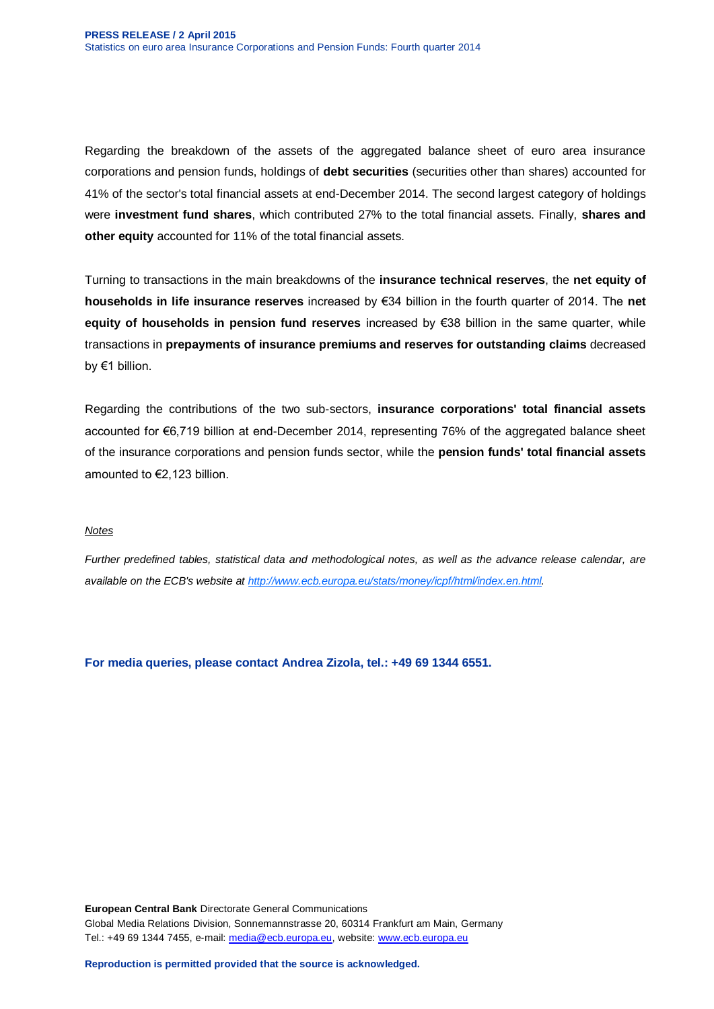Regarding the breakdown of the assets of the aggregated balance sheet of euro area insurance corporations and pension funds, holdings of **debt securities** (securities other than shares) accounted for 41% of the sector's total financial assets at end-December 2014. The second largest category of holdings were **investment fund shares**, which contributed 27% to the total financial assets. Finally, **shares and other equity** accounted for 11% of the total financial assets.

Turning to transactions in the main breakdowns of the **insurance technical reserves**, the **net equity of households in life insurance reserves** increased by €34 billion in the fourth quarter of 2014. The **net equity of households in pension fund reserves** increased by €38 billion in the same quarter, while transactions in **prepayments of insurance premiums and reserves for outstanding claims** decreased by €1 billion.

Regarding the contributions of the two sub-sectors, **insurance corporations' total financial assets** accounted for €6,719 billion at end-December 2014, representing 76% of the aggregated balance sheet of the insurance corporations and pension funds sector, while the **pension funds' total financial assets** amounted to €2,123 billion.

#### *Notes*

*Further predefined tables, statistical data and methodological notes, as well as the advance release calendar, are available on the ECB's website a[t http://www.ecb.europa.eu/stats/money/icpf/html/index.en.html.](http://www.ecb.europa.eu/stats/money/icpf/html/index.en.html)*

**For media queries, please contact Andrea Zizola, tel.: +49 69 1344 6551.**

**European Central Bank** Directorate General Communications Global Media Relations Division, Sonnemannstrasse 20, 60314 Frankfurt am Main, Germany Tel.: +49 69 1344 7455, e-mail: [media@ecb.europa.eu,](mailto:media@ecb.europa.eu) website: [www.ecb.europa.eu](http://www.ecb.europa.eu/)

**Reproduction is permitted provided that the source is acknowledged.**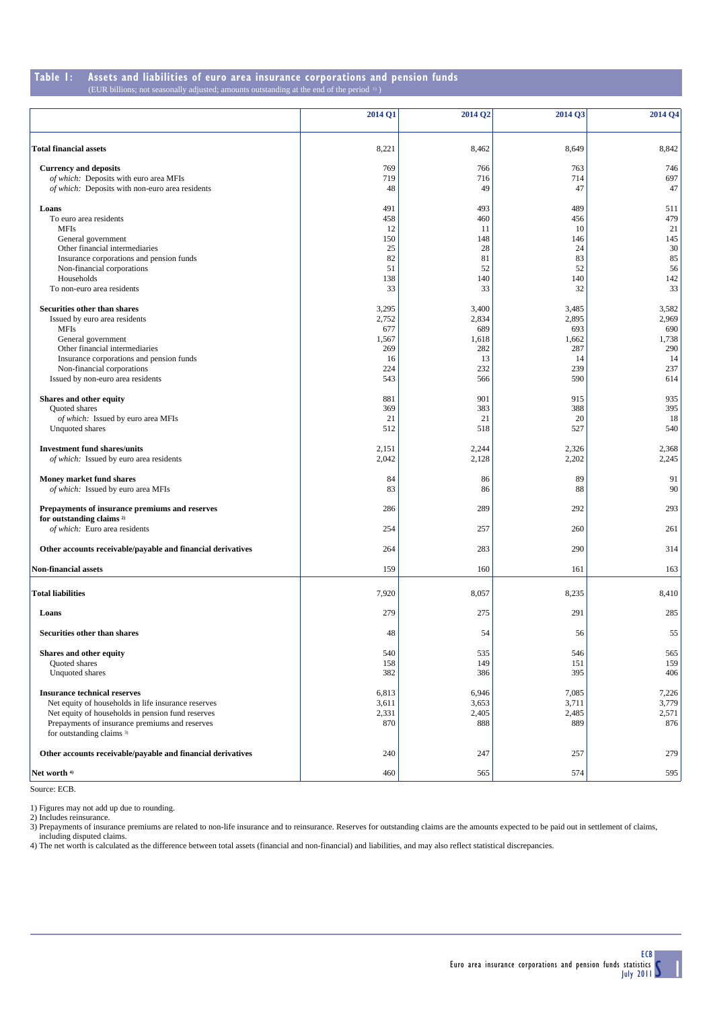#### **Table 1: Assets and liabilities of euro area insurance corporations and pension funds** (EUR billions; not seasonally adjusted; amounts outstanding at the end of the period 1) )

|                                                             | 2014 Q1    | 2014 Q <sub>2</sub> | 2014 O3    | 2014 Q4    |
|-------------------------------------------------------------|------------|---------------------|------------|------------|
| <b>Total financial assets</b>                               | 8,221      | 8,462               | 8,649      | 8,842      |
| <b>Currency and deposits</b>                                | 769        | 766                 | 763        | 746        |
| of which: Deposits with euro area MFIs                      | 719        | 716                 | 714        | 697        |
| of which: Deposits with non-euro area residents             | 48         | 49                  | 47         | 47         |
| Loans                                                       | 491        | 493                 | 489        | 511        |
| To euro area residents                                      | 458        | 460                 | 456        | 479        |
| <b>MFIs</b>                                                 | 12         | 11                  | 10         | 21         |
| General government                                          | 150        | 148                 | 146        | 145        |
| Other financial intermediaries                              | 25         | 28                  | 24         | 30         |
| Insurance corporations and pension funds                    | 82         | 81                  | 83         | 85         |
| Non-financial corporations<br>Households                    | 51<br>138  | 52<br>140           | 52<br>140  | 56         |
| To non-euro area residents                                  | 33         | 33                  | 32         | 142<br>33  |
|                                                             |            |                     |            |            |
| Securities other than shares                                | 3,295      | 3,400               | 3,485      | 3,582      |
| Issued by euro area residents                               | 2,752      | 2,834               | 2,895      | 2,969      |
| <b>MFIs</b>                                                 | 677        | 689                 | 693        | 690        |
| General government                                          | 1,567      | 1,618               | 1,662      | 1,738      |
| Other financial intermediaries                              | 269        | 282                 | 287        | 290        |
| Insurance corporations and pension funds                    | 16         | 13                  | 14         | 14         |
| Non-financial corporations                                  | 224        | 232                 | 239        | 237        |
| Issued by non-euro area residents                           | 543        | 566                 | 590        | 614        |
| Shares and other equity                                     | 881        | 901                 | 915        | 935        |
| Quoted shares                                               | 369        | 383                 | 388        | 395        |
| of which: Issued by euro area MFIs<br>Unquoted shares       | 21<br>512  | 21<br>518           | 20<br>527  | 18<br>540  |
|                                                             |            |                     |            |            |
| <b>Investment fund shares/units</b>                         | 2,151      | 2,244               | 2,326      | 2,368      |
| of which: Issued by euro area residents                     | 2,042      | 2,128               | 2,202      | 2,245      |
| Money market fund shares                                    | 84         | 86                  | 89         | 91         |
| of which: Issued by euro area MFIs                          | 83         | 86                  | 88         | 90         |
| Prepayments of insurance premiums and reserves              | 286        | 289                 | 292        | 293        |
| for outstanding claims <sup>2)</sup>                        |            |                     |            |            |
| of which: Euro area residents                               | 254        | 257                 | 260        | 261        |
| Other accounts receivable/payable and financial derivatives | 264        | 283                 | 290        | 314        |
| <b>Non-financial assets</b>                                 | 159        | 160                 | 161        | 163        |
|                                                             |            |                     |            |            |
| <b>Total liabilities</b>                                    | 7,920      | 8,057               | 8,235      | 8,410      |
| Loans                                                       | 279        | 275                 | 291        | 285        |
| Securities other than shares                                | 48         | 54                  | 56         | 55         |
|                                                             |            |                     |            |            |
| Shares and other equity<br><b>Ouoted</b> shares             | 540<br>158 | 535<br>149          | 546        | 565<br>159 |
|                                                             | 382        |                     | 151<br>395 |            |
| Unquoted shares                                             |            | 386                 |            | 406        |
| <b>Insurance technical reserves</b>                         | 6,813      | 6,946               | 7,085      | 7,226      |
| Net equity of households in life insurance reserves         | 3,611      | 3,653               | 3,711      | 3,779      |
| Net equity of households in pension fund reserves           | 2,331      | 2,405               | 2,485      | 2,571      |
| Prepayments of insurance premiums and reserves              | 870        | 888                 | 889        | 876        |
| for outstanding claims 3)                                   |            |                     |            |            |
| Other accounts receivable/payable and financial derivatives | 240        | 247                 | 257        | 279        |
|                                                             |            |                     |            |            |
| Net worth 4)                                                | 460        | 565                 | 574        | 595        |

Source: ECB.

1) Figures may not add up due to rounding.

2) Includes reinsurance.

3) Prepayments of insurance premiums are related to non-life insurance and to reinsurance. Reserves for outstanding claims are the amounts expected to be paid out in settlement of claims, including disputed claims.

4) The net worth is calculated as the difference between total assets (financial and non-financial) and liabilities, and may also reflect statistical discrepancies.